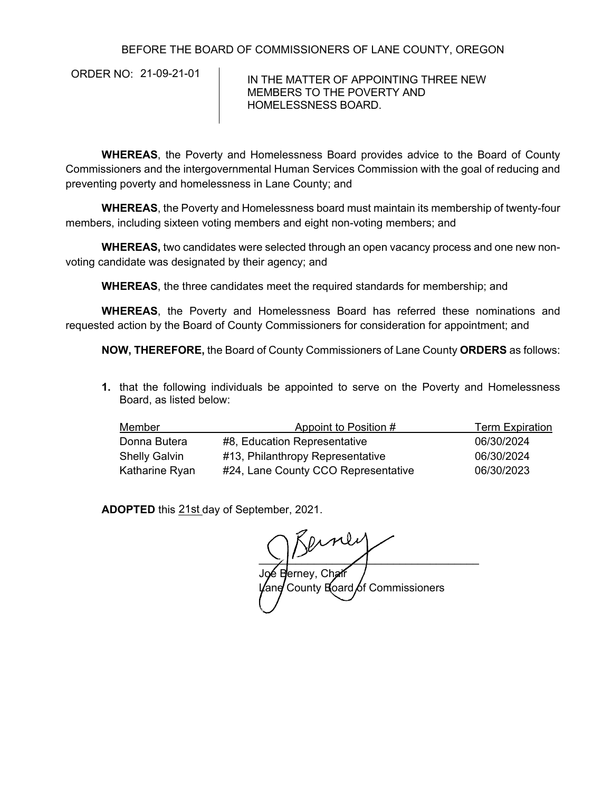BEFORE THE BOARD OF COMMISSIONERS OF LANE COUNTY, OREGON

ORDER NO: 21-09-21-01

IN THE MATTER OF APPOINTING THREE NEW MEMBERS TO THE POVERTY AND HOMELESSNESS BOARD.

**WHEREAS**, the Poverty and Homelessness Board provides advice to the Board of County Commissioners and the intergovernmental Human Services Commission with the goal of reducing and preventing poverty and homelessness in Lane County; and

**WHEREAS**, the Poverty and Homelessness board must maintain its membership of twenty-four members, including sixteen voting members and eight non-voting members; and

**WHEREAS,** two candidates were selected through an open vacancy process and one new nonvoting candidate was designated by their agency; and

**WHEREAS**, the three candidates meet the required standards for membership; and

**WHEREAS**, the Poverty and Homelessness Board has referred these nominations and requested action by the Board of County Commissioners for consideration for appointment; and

**NOW, THEREFORE,** the Board of County Commissioners of Lane County **ORDERS** as follows:

**1.** that the following individuals be appointed to serve on the Poverty and Homelessness Board, as listed below:

| Member               | Appoint to Position #               | <b>Term Expiration</b> |
|----------------------|-------------------------------------|------------------------|
| Donna Butera         | #8, Education Representative        | 06/30/2024             |
| <b>Shelly Galvin</b> | #13, Philanthropy Representative    | 06/30/2024             |
| Katharine Ryan       | #24, Lane County CCO Representative | 06/30/2023             |

ADOPTED this 21st day of September, 2021.

 $\frac{1}{2}$   $\frac{1}{2}$   $\frac{1}{2}$   $\frac{1}{2}$   $\frac{1}{2}$   $\frac{1}{2}$   $\frac{1}{2}$   $\frac{1}{2}$   $\frac{1}{2}$   $\frac{1}{2}$   $\frac{1}{2}$   $\frac{1}{2}$   $\frac{1}{2}$   $\frac{1}{2}$   $\frac{1}{2}$   $\frac{1}{2}$   $\frac{1}{2}$   $\frac{1}{2}$   $\frac{1}{2}$   $\frac{1}{2}$   $\frac{1}{2}$   $\frac{1}{2}$  Joé Berney, Chair County Board of Commissioners